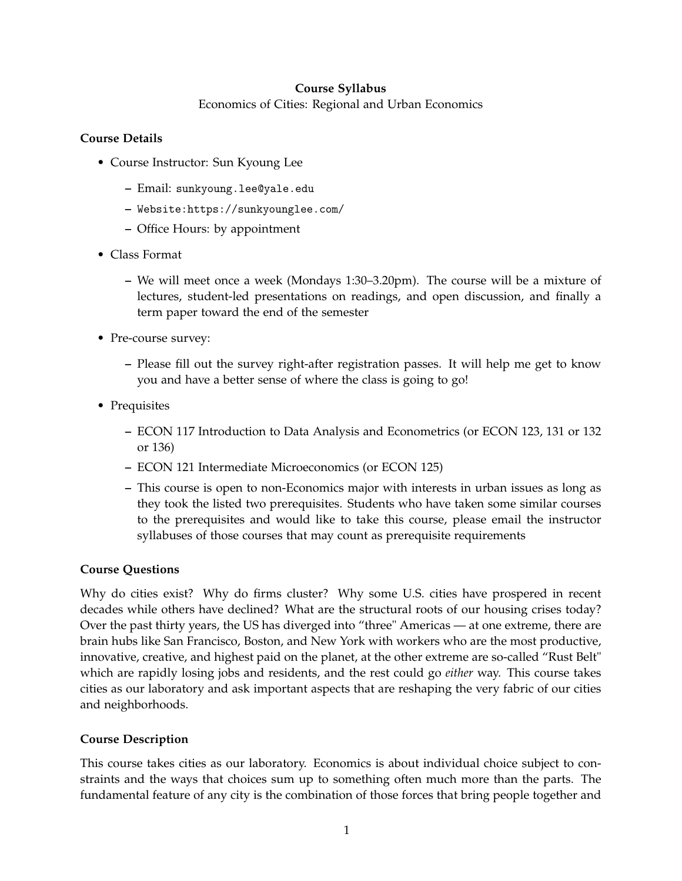## **Course Syllabus**

Economics of Cities: Regional and Urban Economics

## **Course Details**

- Course Instructor: Sun Kyoung Lee
	- **–** Email: sunkyoung.lee@yale.edu
	- **–** Website:https://sunkyounglee.com/
	- **–** Office Hours: by appointment
- Class Format
	- **–** We will meet once a week (Mondays 1:30–3.20pm). The course will be a mixture of lectures, student-led presentations on readings, and open discussion, and finally a term paper toward the end of the semester
- Pre-course survey:
	- **–** Please fill out the survey right-after registration passes. It will help me get to know you and have a better sense of where the class is going to go!
- Prequisites
	- **–** ECON 117 Introduction to Data Analysis and Econometrics (or ECON 123, 131 or 132 or 136)
	- **–** ECON 121 Intermediate Microeconomics (or ECON 125)
	- **–** This course is open to non-Economics major with interests in urban issues as long as they took the listed two prerequisites. Students who have taken some similar courses to the prerequisites and would like to take this course, please email the instructor syllabuses of those courses that may count as prerequisite requirements

## **Course Questions**

Why do cities exist? Why do firms cluster? Why some U.S. cities have prospered in recent decades while others have declined? What are the structural roots of our housing crises today? Over the past thirty years, the US has diverged into "three" Americas — at one extreme, there are brain hubs like San Francisco, Boston, and New York with workers who are the most productive, innovative, creative, and highest paid on the planet, at the other extreme are so-called "Rust Belt" which are rapidly losing jobs and residents, and the rest could go *either* way. This course takes cities as our laboratory and ask important aspects that are reshaping the very fabric of our cities and neighborhoods.

## **Course Description**

This course takes cities as our laboratory. Economics is about individual choice subject to constraints and the ways that choices sum up to something often much more than the parts. The fundamental feature of any city is the combination of those forces that bring people together and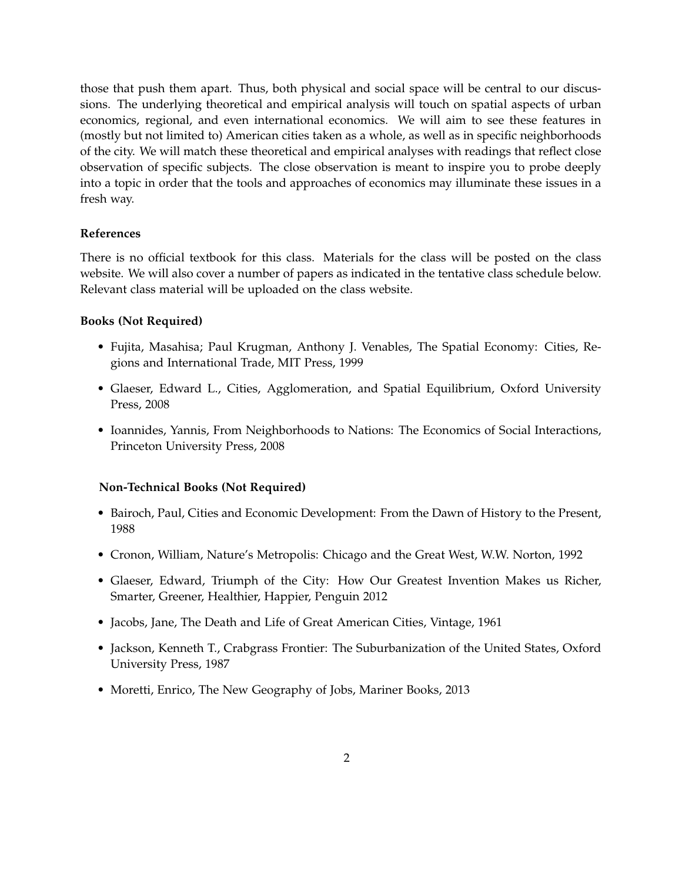those that push them apart. Thus, both physical and social space will be central to our discussions. The underlying theoretical and empirical analysis will touch on spatial aspects of urban economics, regional, and even international economics. We will aim to see these features in (mostly but not limited to) American cities taken as a whole, as well as in specific neighborhoods of the city. We will match these theoretical and empirical analyses with readings that reflect close observation of specific subjects. The close observation is meant to inspire you to probe deeply into a topic in order that the tools and approaches of economics may illuminate these issues in a fresh way.

### **References**

There is no official textbook for this class. Materials for the class will be posted on the class website. We will also cover a number of papers as indicated in the tentative class schedule below. Relevant class material will be uploaded on the class website.

#### **Books (Not Required)**

- Fujita, Masahisa; Paul Krugman, Anthony J. Venables, The Spatial Economy: Cities, Regions and International Trade, MIT Press, 1999
- Glaeser, Edward L., Cities, Agglomeration, and Spatial Equilibrium, Oxford University Press, 2008
- Ioannides, Yannis, From Neighborhoods to Nations: The Economics of Social Interactions, Princeton University Press, 2008

#### **Non-Technical Books (Not Required)**

- Bairoch, Paul, Cities and Economic Development: From the Dawn of History to the Present, 1988
- Cronon, William, Nature's Metropolis: Chicago and the Great West, W.W. Norton, 1992
- Glaeser, Edward, Triumph of the City: How Our Greatest Invention Makes us Richer, Smarter, Greener, Healthier, Happier, Penguin 2012
- Jacobs, Jane, The Death and Life of Great American Cities, Vintage, 1961
- Jackson, Kenneth T., Crabgrass Frontier: The Suburbanization of the United States, Oxford University Press, 1987
- Moretti, Enrico, The New Geography of Jobs, Mariner Books, 2013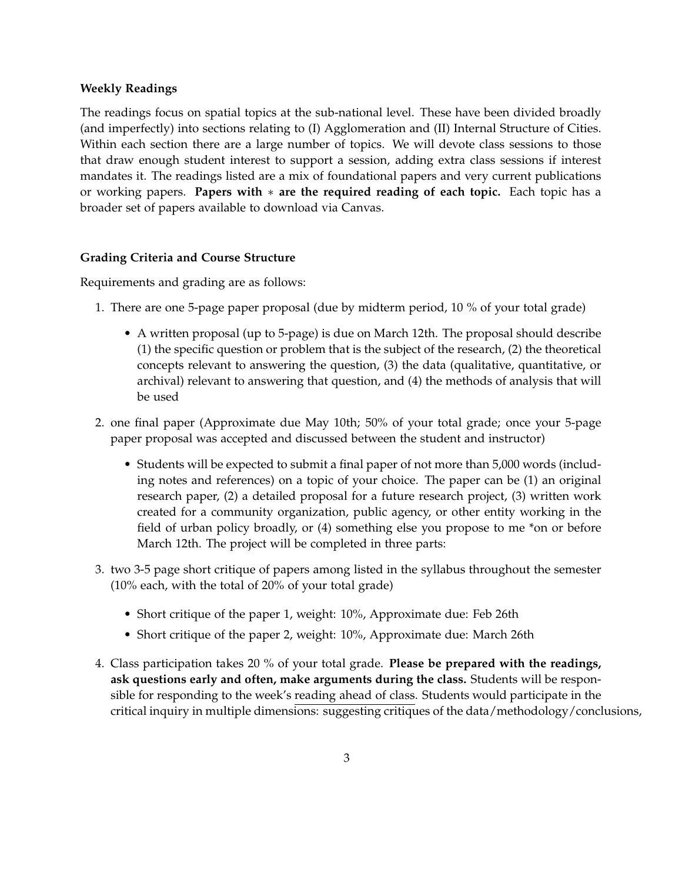### **Weekly Readings**

The readings focus on spatial topics at the sub-national level. These have been divided broadly (and imperfectly) into sections relating to (I) Agglomeration and (II) Internal Structure of Cities. Within each section there are a large number of topics. We will devote class sessions to those that draw enough student interest to support a session, adding extra class sessions if interest mandates it. The readings listed are a mix of foundational papers and very current publications or working papers. **Papers with**  $*$  are the required reading of each topic. Each topic has a broader set of papers available to download via Canvas.

### **Grading Criteria and Course Structure**

Requirements and grading are as follows:

- 1. There are one 5-page paper proposal (due by midterm period, 10 % of your total grade)
	- A written proposal (up to 5-page) is due on March 12th. The proposal should describe (1) the specific question or problem that is the subject of the research, (2) the theoretical concepts relevant to answering the question, (3) the data (qualitative, quantitative, or archival) relevant to answering that question, and (4) the methods of analysis that will be used
- 2. one final paper (Approximate due May 10th; 50% of your total grade; once your 5-page paper proposal was accepted and discussed between the student and instructor)
	- Students will be expected to submit a final paper of not more than 5,000 words (including notes and references) on a topic of your choice. The paper can be (1) an original research paper, (2) a detailed proposal for a future research project, (3) written work created for a community organization, public agency, or other entity working in the field of urban policy broadly, or (4) something else you propose to me \*on or before March 12th. The project will be completed in three parts:
- 3. two 3-5 page short critique of papers among listed in the syllabus throughout the semester (10% each, with the total of 20% of your total grade)
	- Short critique of the paper 1, weight: 10%, Approximate due: Feb 26th
	- Short critique of the paper 2, weight: 10%, Approximate due: March 26th
- 4. Class participation takes 20 % of your total grade. **Please be prepared with the readings, ask questions early and often, make arguments during the class.** Students will be responsible for responding to the week's reading ahead of class. Students would participate in the critical inquiry in multiple dimensions: suggesting critiques of the data/methodology/conclusions,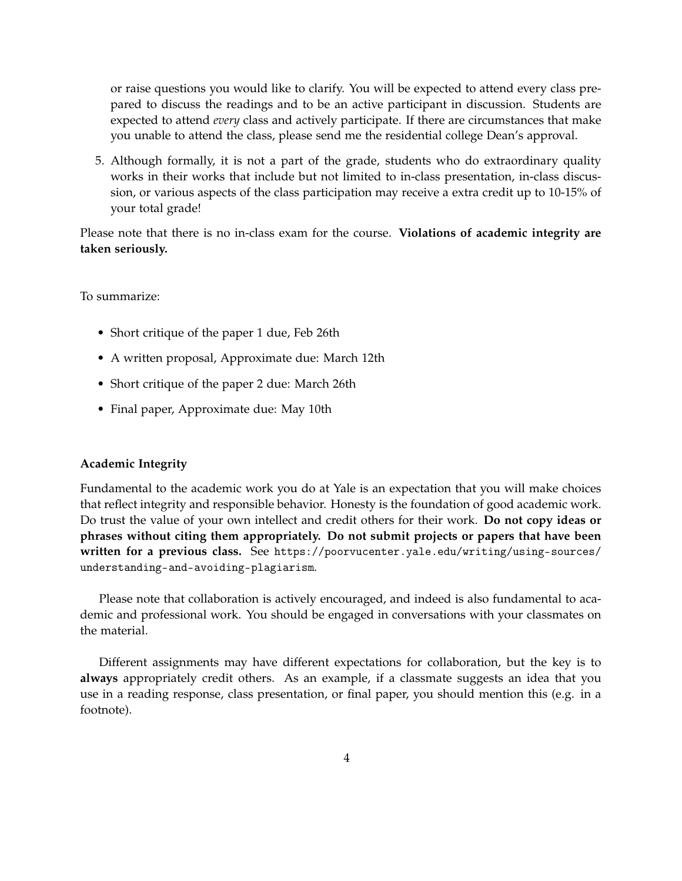or raise questions you would like to clarify. You will be expected to attend every class prepared to discuss the readings and to be an active participant in discussion. Students are expected to attend *every* class and actively participate. If there are circumstances that make you unable to attend the class, please send me the residential college Dean's approval.

5. Although formally, it is not a part of the grade, students who do extraordinary quality works in their works that include but not limited to in-class presentation, in-class discussion, or various aspects of the class participation may receive a extra credit up to 10-15% of your total grade!

Please note that there is no in-class exam for the course. **Violations of academic integrity are taken seriously.**

To summarize:

- Short critique of the paper 1 due, Feb 26th
- A written proposal, Approximate due: March 12th
- Short critique of the paper 2 due: March 26th
- Final paper, Approximate due: May 10th

#### **Academic Integrity**

Fundamental to the academic work you do at Yale is an expectation that you will make choices that reflect integrity and responsible behavior. Honesty is the foundation of good academic work. Do trust the value of your own intellect and credit others for their work. **Do not copy ideas or phrases without citing them appropriately. Do not submit projects or papers that have been written for a previous class.** See https://poorvucenter.yale.edu/writing/using-sources/ understanding-and-avoiding-plagiarism.

Please note that collaboration is actively encouraged, and indeed is also fundamental to academic and professional work. You should be engaged in conversations with your classmates on the material.

Different assignments may have different expectations for collaboration, but the key is to **always** appropriately credit others. As an example, if a classmate suggests an idea that you use in a reading response, class presentation, or final paper, you should mention this (e.g. in a footnote).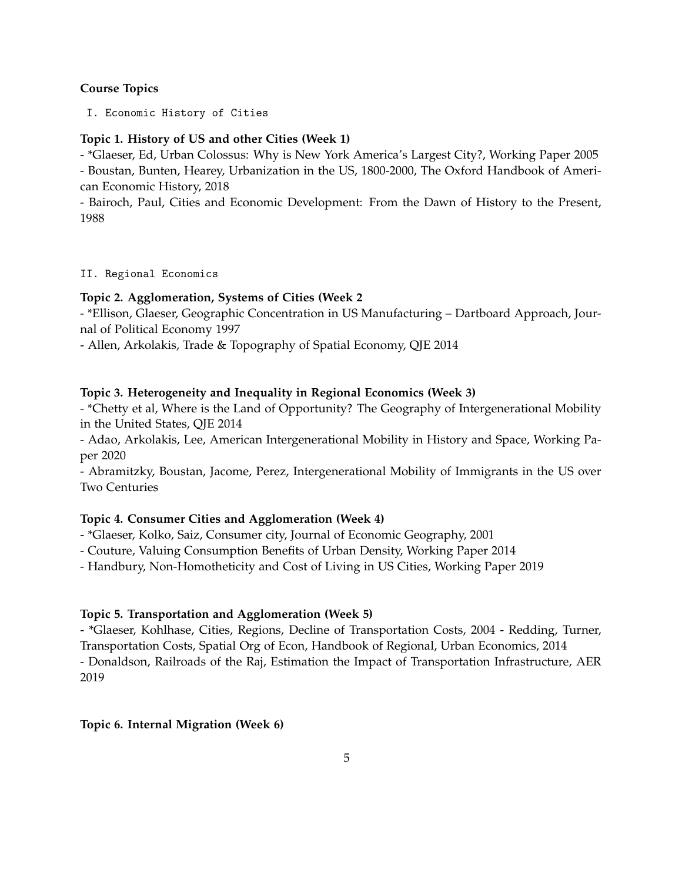## **Course Topics**

I. Economic History of Cities

### **Topic 1. History of US and other Cities (Week 1)**

- \*Glaeser, Ed, Urban Colossus: Why is New York America's Largest City?, Working Paper 2005 - Boustan, Bunten, Hearey, Urbanization in the US, 1800-2000, The Oxford Handbook of American Economic History, 2018

- Bairoch, Paul, Cities and Economic Development: From the Dawn of History to the Present, 1988

II. Regional Economics

### **Topic 2. Agglomeration, Systems of Cities (Week 2**

- \*Ellison, Glaeser, Geographic Concentration in US Manufacturing – Dartboard Approach, Journal of Political Economy 1997

- Allen, Arkolakis, Trade & Topography of Spatial Economy, QJE 2014

### **Topic 3. Heterogeneity and Inequality in Regional Economics (Week 3)**

- \*Chetty et al, Where is the Land of Opportunity? The Geography of Intergenerational Mobility in the United States, QJE 2014

- Adao, Arkolakis, Lee, American Intergenerational Mobility in History and Space, Working Paper 2020

- Abramitzky, Boustan, Jacome, Perez, Intergenerational Mobility of Immigrants in the US over Two Centuries

### **Topic 4. Consumer Cities and Agglomeration (Week 4)**

- \*Glaeser, Kolko, Saiz, Consumer city, Journal of Economic Geography, 2001

- Couture, Valuing Consumption Benefits of Urban Density, Working Paper 2014

- Handbury, Non-Homotheticity and Cost of Living in US Cities, Working Paper 2019

### **Topic 5. Transportation and Agglomeration (Week 5)**

- \*Glaeser, Kohlhase, Cities, Regions, Decline of Transportation Costs, 2004 - Redding, Turner, Transportation Costs, Spatial Org of Econ, Handbook of Regional, Urban Economics, 2014 - Donaldson, Railroads of the Raj, Estimation the Impact of Transportation Infrastructure, AER 2019

### **Topic 6. Internal Migration (Week 6)**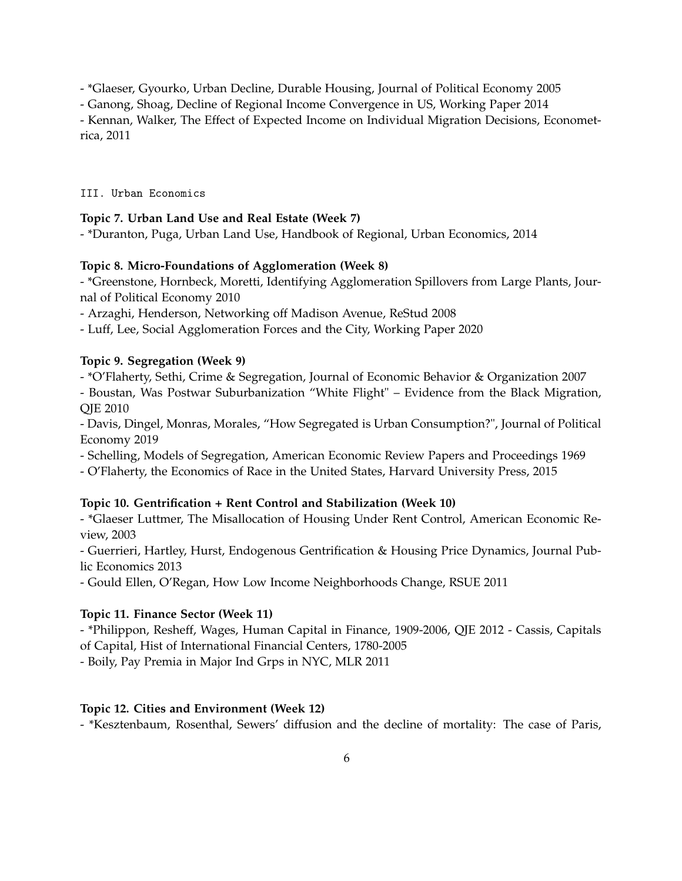- \*Glaeser, Gyourko, Urban Decline, Durable Housing, Journal of Political Economy 2005

- Ganong, Shoag, Decline of Regional Income Convergence in US, Working Paper 2014

- Kennan, Walker, The Effect of Expected Income on Individual Migration Decisions, Econometrica, 2011

III. Urban Economics

## **Topic 7. Urban Land Use and Real Estate (Week 7)**

- \*Duranton, Puga, Urban Land Use, Handbook of Regional, Urban Economics, 2014

## **Topic 8. Micro-Foundations of Agglomeration (Week 8)**

- \*Greenstone, Hornbeck, Moretti, Identifying Agglomeration Spillovers from Large Plants, Journal of Political Economy 2010

- Arzaghi, Henderson, Networking off Madison Avenue, ReStud 2008

- Luff, Lee, Social Agglomeration Forces and the City, Working Paper 2020

## **Topic 9. Segregation (Week 9)**

- \*O'Flaherty, Sethi, Crime & Segregation, Journal of Economic Behavior & Organization 2007

- Boustan, Was Postwar Suburbanization "White Flight" – Evidence from the Black Migration, QJE 2010

- Davis, Dingel, Monras, Morales, "How Segregated is Urban Consumption?", Journal of Political Economy 2019

- Schelling, Models of Segregation, American Economic Review Papers and Proceedings 1969

- O'Flaherty, the Economics of Race in the United States, Harvard University Press, 2015

## **Topic 10. Gentrification + Rent Control and Stabilization (Week 10)**

- \*Glaeser Luttmer, The Misallocation of Housing Under Rent Control, American Economic Review, 2003

- Guerrieri, Hartley, Hurst, Endogenous Gentrification & Housing Price Dynamics, Journal Public Economics 2013

- Gould Ellen, O'Regan, How Low Income Neighborhoods Change, RSUE 2011

# **Topic 11. Finance Sector (Week 11)**

- \*Philippon, Resheff, Wages, Human Capital in Finance, 1909-2006, QJE 2012 - Cassis, Capitals of Capital, Hist of International Financial Centers, 1780-2005

- Boily, Pay Premia in Major Ind Grps in NYC, MLR 2011

# **Topic 12. Cities and Environment (Week 12)**

- \*Kesztenbaum, Rosenthal, Sewers' diffusion and the decline of mortality: The case of Paris,